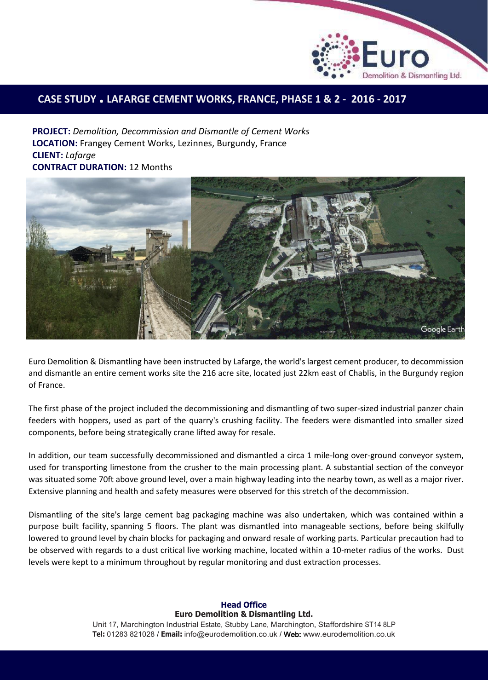

## **CASE STUDY . LAFARGE CEMENT WORKS, FRANCE, PHASE 1 & <sup>2</sup> - 2016 - <sup>2017</sup>**

**PROJECT:** *Demolition, Decommission and Dismantle of Cement Works*  **LOCATION:** Frangey Cement Works, Lezinnes, Burgundy, France **CLIENT:** *Lafarge* **CONTRACT DURATION:** 12 Months



Euro Demolition & Dismantling have been instructed by Lafarge, the world's largest cement producer, to decommission and dismantle an entire cement works site the 216 acre site, located just 22km east of Chablis, in the Burgundy region of France.

The first phase of the project included the decommissioning and dismantling of two super-sized industrial panzer chain feeders with hoppers, used as part of the quarry's crushing facility. The feeders were dismantled into smaller sized components, before being strategically crane lifted away for resale.

In addition, our team successfully decommissioned and dismantled a circa 1 mile-long over-ground conveyor system, used for transporting limestone from the crusher to the main processing plant. A substantial section of the conveyor was situated some 70ft above ground level, over a main highway leading into the nearby town, as well as a major river. Extensive planning and health and safety measures were observed for this stretch of the decommission.

Dismantling of the site's large cement bag packaging machine was also undertaken, which was contained within a purpose built facility, spanning 5 floors. The plant was dismantled into manageable sections, before being skilfully lowered to ground level by chain blocks for packaging and onward resale of working parts. Particular precaution had to be observed with regards to a dust critical live working machine, located within a 10-meter radius of the works. Dust levels were kept to a minimum throughout by regular monitoring and dust extraction processes.

## **Head Office Euro Demolition & Dismantling Ltd.**

Unit 17, Marchington Industrial Estate, Stubby Lane, Marchington, Staffordshire ST14 8LP **Tel:** 01283 821028 / **Email:** [info@eurodemolition.co.uk](mailto:info@eurodemolition.co.uk) / Web: [www.eurodemolition.co.uk](http://www.eurodemolition.co.uk/)